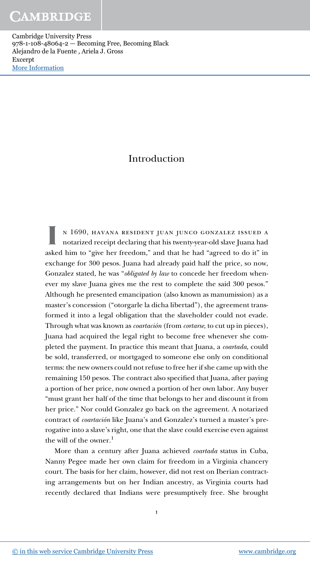# Introduction

I n 1690, havana resident juan junco gonzalez issued a notarized receipt declaring that his twenty-year-old slave Juana had asked him to "give her freedom," and that he had "agreed to do it" in exchange for 300 pesos. Juana had already paid half the price, so now, Gonzalez stated, he was "obligated by law to concede her freedom whenever my slave Juana gives me the rest to complete the said 300 pesos." Although he presented emancipation (also known as manumission) as a master's concession ("otorgarle la dicha libertad"), the agreement transformed it into a legal obligation that the slaveholder could not evade. Through what was known as *coartación* (from *cortarse*, to cut up in pieces), Juana had acquired the legal right to become free whenever she completed the payment. In practice this meant that Juana, a coartada, could be sold, transferred, or mortgaged to someone else only on conditional terms: the new owners could not refuse to free her if she came up with the remaining 150 pesos. The contract also specified that Juana, after paying a portion of her price, now owned a portion of her own labor. Any buyer "must grant her half of the time that belongs to her and discount it from her price." Nor could Gonzalez go back on the agreement. A notarized contract of coartación like Juana's and Gonzalez's turned a master's prerogative into a slave's right, one that the slave could exercise even against the will of the owner.<sup>1</sup>

More than a century after Juana achieved coartada status in Cuba, Nanny Pegee made her own claim for freedom in a Virginia chancery court. The basis for her claim, however, did not rest on Iberian contracting arrangements but on her Indian ancestry, as Virginia courts had recently declared that Indians were presumptively free. She brought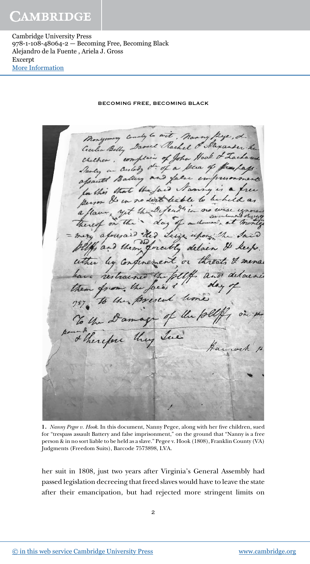# CAMBRIDGE

Cambridge University Press 978-1-108-48064-2 — Becoming Free, Becoming Black Alejandro de la Fuente , Ariela J. Gross Excerpt [More Information](www.cambridge.org/9781108480642)

BECOMING FREE, BECOMING BLACK

Mongomery County to wit, Manny Page, L. children, complain of John Hook & Lachama Stanley an certaly dir of a pera of frankaps. stanly in they are false impresentence know & in no sint leable to be held as a flame, yet the Defends in no wise unone - mery aponesard ded Seize upon the Said billy and them forcibly delain & keep. either by confenement or threats & mener have restrained the puffs and deloused To the Damage of the folloff one I therefore they Jue Hancock

1. Nanny Pegee v. Hook. In this document, Nanny Pegee, along with her five children, sued for "trespass assault Battery and false imprisonment," on the ground that "Nanny is a free person & in no sort liable to be held as a slave." Pegee v. Hook (1808), Franklin County (VA) Judgments (Freedom Suits), Barcode 7573898, LVA.

her suit in 1808, just two years after Virginia's General Assembly had passed legislation decreeing that freed slaves would have to leave the state after their emancipation, but had rejected more stringent limits on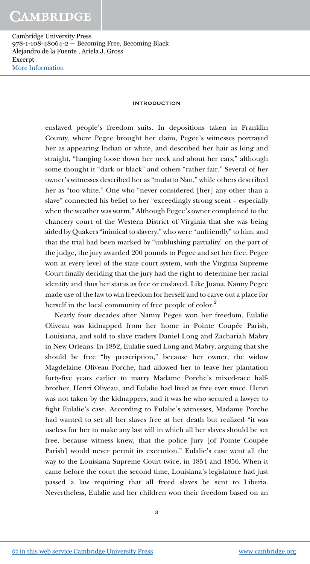### INTRODUCTION

enslaved people's freedom suits. In depositions taken in Franklin County, where Pegee brought her claim, Pegee's witnesses portrayed her as appearing Indian or white, and described her hair as long and straight, "hanging loose down her neck and about her ears," although some thought it "dark or black" and others "rather fair." Several of her owner's witnesses described her as "mulatto Nan," while others described her as "too white." One who "never considered [her] any other than a slave" connected his belief to her "exceedingly strong scent – especially when the weather was warm." Although Pegee's owner complained to the chancery court of the Western District of Virginia that she was being aided by Quakers "inimical to slavery," who were "unfriendly" to him, and that the trial had been marked by "unblushing partiality" on the part of the judge, the jury awarded 200 pounds to Pegee and set her free. Pegee won at every level of the state court system, with the Virginia Supreme Court finally deciding that the jury had the right to determine her racial identity and thus her status as free or enslaved. Like Juana, Nanny Pegee made use of the law to win freedom for herself and to carve out a place for herself in the local community of free people of color.<sup>2</sup>

Nearly four decades after Nanny Pegee won her freedom, Eulalie Oliveau was kidnapped from her home in Pointe Coupée Parish, Louisiana, and sold to slave traders Daniel Long and Zachariah Mabry in New Orleans. In 1852, Eulalie sued Long and Mabry, arguing that she should be free "by prescription," because her owner, the widow Magdelaine Oliveau Porche, had allowed her to leave her plantation forty-five years earlier to marry Madame Porche's mixed-race halfbrother, Henri Oliveau, and Eulalie had lived as free ever since. Henri was not taken by the kidnappers, and it was he who secured a lawyer to fight Eulalie's case. According to Eulalie's witnesses, Madame Porche had wanted to set all her slaves free at her death but realized "it was useless for her to make any last will in which all her slaves should be set free, because witness knew, that the police Jury [of Pointe Coupée Parish] would never permit its execution." Eulalie's case went all the way to the Louisiana Supreme Court twice, in 1854 and 1856. When it came before the court the second time, Louisiana's legislature had just passed a law requiring that all freed slaves be sent to Liberia. Nevertheless, Eulalie and her children won their freedom based on an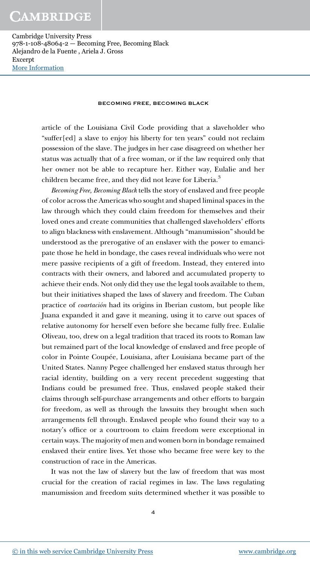### BECOMING FREE, BECOMING BLACK

article of the Louisiana Civil Code providing that a slaveholder who "suffer[ed] a slave to enjoy his liberty for ten years" could not reclaim possession of the slave. The judges in her case disagreed on whether her status was actually that of a free woman, or if the law required only that her owner not be able to recapture her. Either way, Eulalie and her children became free, and they did not leave for Liberia.<sup>3</sup>

Becoming Free, Becoming Black tells the story of enslaved and free people of color across the Americas who sought and shaped liminal spaces in the law through which they could claim freedom for themselves and their loved ones and create communities that challenged slaveholders' efforts to align blackness with enslavement. Although "manumission" should be understood as the prerogative of an enslaver with the power to emancipate those he held in bondage, the cases reveal individuals who were not mere passive recipients of a gift of freedom. Instead, they entered into contracts with their owners, and labored and accumulated property to achieve their ends. Not only did they use the legal tools available to them, but their initiatives shaped the laws of slavery and freedom. The Cuban practice of coartación had its origins in Iberian custom, but people like Juana expanded it and gave it meaning, using it to carve out spaces of relative autonomy for herself even before she became fully free. Eulalie Oliveau, too, drew on a legal tradition that traced its roots to Roman law but remained part of the local knowledge of enslaved and free people of color in Pointe Coupée, Louisiana, after Louisiana became part of the United States. Nanny Pegee challenged her enslaved status through her racial identity, building on a very recent precedent suggesting that Indians could be presumed free. Thus, enslaved people staked their claims through self-purchase arrangements and other efforts to bargain for freedom, as well as through the lawsuits they brought when such arrangements fell through. Enslaved people who found their way to a notary's office or a courtroom to claim freedom were exceptional in certain ways. The majority of men and women born in bondage remained enslaved their entire lives. Yet those who became free were key to the construction of race in the Americas.

It was not the law of slavery but the law of freedom that was most crucial for the creation of racial regimes in law. The laws regulating manumission and freedom suits determined whether it was possible to

 $\overline{A}$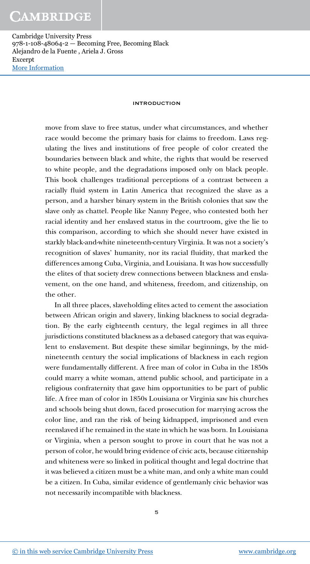#### INTRODUCTION

move from slave to free status, under what circumstances, and whether race would become the primary basis for claims to freedom. Laws regulating the lives and institutions of free people of color created the boundaries between black and white, the rights that would be reserved to white people, and the degradations imposed only on black people. This book challenges traditional perceptions of a contrast between a racially fluid system in Latin America that recognized the slave as a person, and a harsher binary system in the British colonies that saw the slave only as chattel. People like Nanny Pegee, who contested both her racial identity and her enslaved status in the courtroom, give the lie to this comparison, according to which she should never have existed in starkly black-and-white nineteenth-century Virginia. It was not a society's recognition of slaves' humanity, nor its racial fluidity, that marked the differences among Cuba, Virginia, and Louisiana. It was how successfully the elites of that society drew connections between blackness and enslavement, on the one hand, and whiteness, freedom, and citizenship, on the other.

In all three places, slaveholding elites acted to cement the association between African origin and slavery, linking blackness to social degradation. By the early eighteenth century, the legal regimes in all three jurisdictions constituted blackness as a debased category that was equivalent to enslavement. But despite these similar beginnings, by the midnineteenth century the social implications of blackness in each region were fundamentally different. A free man of color in Cuba in the 1850s could marry a white woman, attend public school, and participate in a religious confraternity that gave him opportunities to be part of public life. A free man of color in 1850s Louisiana or Virginia saw his churches and schools being shut down, faced prosecution for marrying across the color line, and ran the risk of being kidnapped, imprisoned and even reenslaved if he remained in the state in which he was born. In Louisiana or Virginia, when a person sought to prove in court that he was not a person of color, he would bring evidence of civic acts, because citizenship and whiteness were so linked in political thought and legal doctrine that it was believed a citizen must be a white man, and only a white man could be a citizen. In Cuba, similar evidence of gentlemanly civic behavior was not necessarily incompatible with blackness.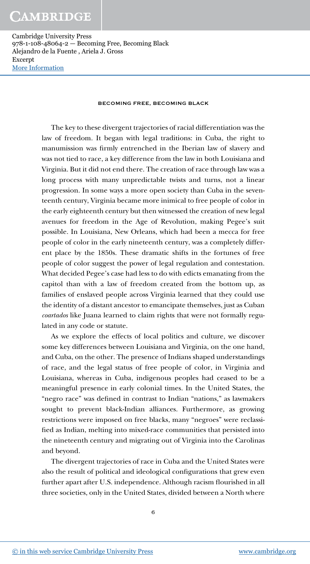# BECOMING FREE, BECOMING BLACK

The key to these divergent trajectories of racial differentiation was the law of freedom. It began with legal traditions: in Cuba, the right to manumission was firmly entrenched in the Iberian law of slavery and was not tied to race, a key difference from the law in both Louisiana and Virginia. But it did not end there. The creation of race through law was a long process with many unpredictable twists and turns, not a linear progression. In some ways a more open society than Cuba in the seventeenth century, Virginia became more inimical to free people of color in the early eighteenth century but then witnessed the creation of new legal avenues for freedom in the Age of Revolution, making Pegee's suit possible. In Louisiana, New Orleans, which had been a mecca for free people of color in the early nineteenth century, was a completely different place by the 1850s. These dramatic shifts in the fortunes of free people of color suggest the power of legal regulation and contestation. What decided Pegee's case had less to do with edicts emanating from the capitol than with a law of freedom created from the bottom up, as families of enslaved people across Virginia learned that they could use the identity of a distant ancestor to emancipate themselves, just as Cuban coartados like Juana learned to claim rights that were not formally regulated in any code or statute.

As we explore the effects of local politics and culture, we discover some key differences between Louisiana and Virginia, on the one hand, and Cuba, on the other. The presence of Indians shaped understandings of race, and the legal status of free people of color, in Virginia and Louisiana, whereas in Cuba, indigenous peoples had ceased to be a meaningful presence in early colonial times. In the United States, the "negro race" was defined in contrast to Indian "nations," as lawmakers sought to prevent black-Indian alliances. Furthermore, as growing restrictions were imposed on free blacks, many "negroes" were reclassified as Indian, melting into mixed-race communities that persisted into the nineteenth century and migrating out of Virginia into the Carolinas and beyond.

The divergent trajectories of race in Cuba and the United States were also the result of political and ideological configurations that grew even further apart after U.S. independence. Although racism flourished in all three societies, only in the United States, divided between a North where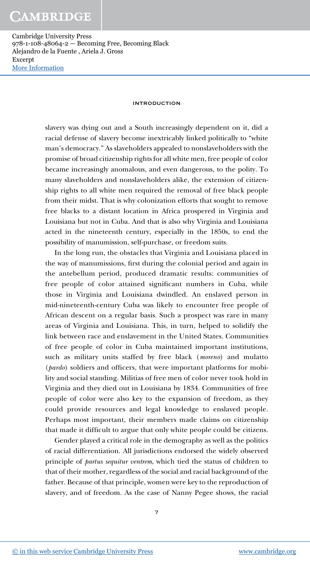### INTRODUCTION

slavery was dying out and a South increasingly dependent on it, did a racial defense of slavery become inextricably linked politically to "white man's democracy." As slaveholders appealed to nonslaveholders with the promise of broad citizenship rights for all white men, free people of color became increasingly anomalous, and even dangerous, to the polity. To many slaveholders and nonslaveholders alike, the extension of citizenship rights to all white men required the removal of free black people from their midst. That is why colonization efforts that sought to remove free blacks to a distant location in Africa prospered in Virginia and Louisiana but not in Cuba. And that is also why Virginia and Louisiana acted in the nineteenth century, especially in the 1850s, to end the possibility of manumission, self-purchase, or freedom suits.

In the long run, the obstacles that Virginia and Louisiana placed in the way of manumissions, first during the colonial period and again in the antebellum period, produced dramatic results: communities of free people of color attained significant numbers in Cuba, while those in Virginia and Louisiana dwindled. An enslaved person in mid-nineteenth-century Cuba was likely to encounter free people of African descent on a regular basis. Such a prospect was rare in many areas of Virginia and Louisiana. This, in turn, helped to solidify the link between race and enslavement in the United States. Communities of free people of color in Cuba maintained important institutions, such as military units staffed by free black (moreno) and mulatto (pardo) soldiers and officers, that were important platforms for mobility and social standing. Militias of free men of color never took hold in Virginia and they died out in Louisiana by 1834. Communities of free people of color were also key to the expansion of freedom, as they could provide resources and legal knowledge to enslaved people. Perhaps most important, their members made claims on citizenship that made it difficult to argue that only white people could be citizens.

Gender played a critical role in the demography as well as the politics of racial differentiation. All jurisdictions endorsed the widely observed principle of partus sequitur ventrem, which tied the status of children to that of their mother, regardless of the social and racial background of the father. Because of that principle, women were key to the reproduction of slavery, and of freedom. As the case of Nanny Pegee shows, the racial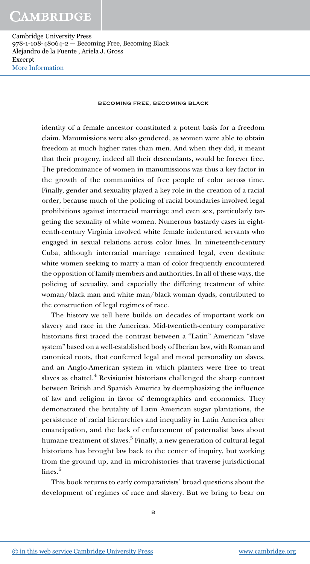# BECOMING FREE, BECOMING BLACK

identity of a female ancestor constituted a potent basis for a freedom claim. Manumissions were also gendered, as women were able to obtain freedom at much higher rates than men. And when they did, it meant that their progeny, indeed all their descendants, would be forever free. The predominance of women in manumissions was thus a key factor in the growth of the communities of free people of color across time. Finally, gender and sexuality played a key role in the creation of a racial order, because much of the policing of racial boundaries involved legal prohibitions against interracial marriage and even sex, particularly targeting the sexuality of white women. Numerous bastardy cases in eighteenth-century Virginia involved white female indentured servants who engaged in sexual relations across color lines. In nineteenth-century Cuba, although interracial marriage remained legal, even destitute white women seeking to marry a man of color frequently encountered the opposition of family members and authorities. In all of these ways, the policing of sexuality, and especially the differing treatment of white woman/black man and white man/black woman dyads, contributed to the construction of legal regimes of race.

The history we tell here builds on decades of important work on slavery and race in the Americas. Mid-twentieth-century comparative historians first traced the contrast between a "Latin" American "slave system" based on a well-established body of Iberian law, with Roman and canonical roots, that conferred legal and moral personality on slaves, and an Anglo-American system in which planters were free to treat slaves as chattel. $4$  Revisionist historians challenged the sharp contrast between British and Spanish America by deemphasizing the influence of law and religion in favor of demographics and economics. They demonstrated the brutality of Latin American sugar plantations, the persistence of racial hierarchies and inequality in Latin America after emancipation, and the lack of enforcement of paternalist laws about humane treatment of slaves.<sup>5</sup> Finally, a new generation of cultural-legal historians has brought law back to the center of inquiry, but working from the ground up, and in microhistories that traverse jurisdictional  $lines.<sup>6</sup>$ 

This book returns to early comparativists' broad questions about the development of regimes of race and slavery. But we bring to bear on

8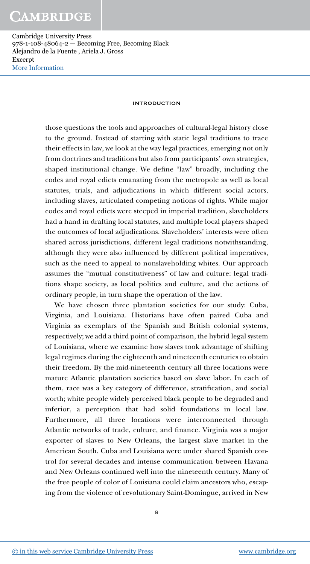## INTRODUCTION

those questions the tools and approaches of cultural-legal history close to the ground. Instead of starting with static legal traditions to trace their effects in law, we look at the way legal practices, emerging not only from doctrines and traditions but also from participants' own strategies, shaped institutional change. We define "law" broadly, including the codes and royal edicts emanating from the metropole as well as local statutes, trials, and adjudications in which different social actors, including slaves, articulated competing notions of rights. While major codes and royal edicts were steeped in imperial tradition, slaveholders had a hand in drafting local statutes, and multiple local players shaped the outcomes of local adjudications. Slaveholders' interests were often shared across jurisdictions, different legal traditions notwithstanding, although they were also influenced by different political imperatives, such as the need to appeal to nonslaveholding whites. Our approach assumes the "mutual constitutiveness" of law and culture: legal traditions shape society, as local politics and culture, and the actions of ordinary people, in turn shape the operation of the law.

We have chosen three plantation societies for our study: Cuba, Virginia, and Louisiana. Historians have often paired Cuba and Virginia as exemplars of the Spanish and British colonial systems, respectively; we add a third point of comparison, the hybrid legal system of Louisiana, where we examine how slaves took advantage of shifting legal regimes during the eighteenth and nineteenth centuries to obtain their freedom. By the mid-nineteenth century all three locations were mature Atlantic plantation societies based on slave labor. In each of them, race was a key category of difference, stratification, and social worth; white people widely perceived black people to be degraded and inferior, a perception that had solid foundations in local law. Furthermore, all three locations were interconnected through Atlantic networks of trade, culture, and finance. Virginia was a major exporter of slaves to New Orleans, the largest slave market in the American South. Cuba and Louisiana were under shared Spanish control for several decades and intense communication between Havana and New Orleans continued well into the nineteenth century. Many of the free people of color of Louisiana could claim ancestors who, escaping from the violence of revolutionary Saint-Domingue, arrived in New